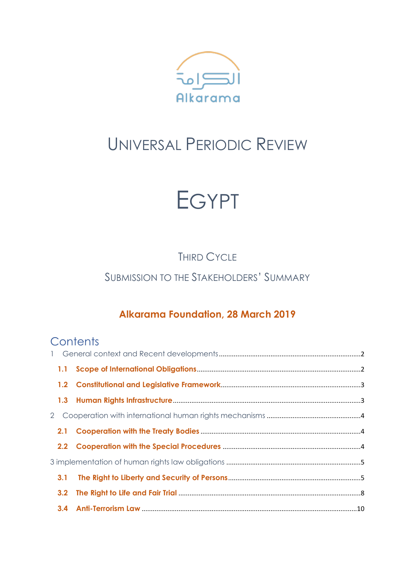

# UNIVERSAL PERIODIC REVIEW



THIRD CYCLE

SUBMISSION TO THE STAKEHOLDERS' SUMMARY

# **Alkarama Foundation, 28 March 2019**

# **Contents**

| 2 |     |  |
|---|-----|--|
|   |     |  |
|   |     |  |
|   |     |  |
|   | 3.1 |  |
|   | 3.2 |  |
|   |     |  |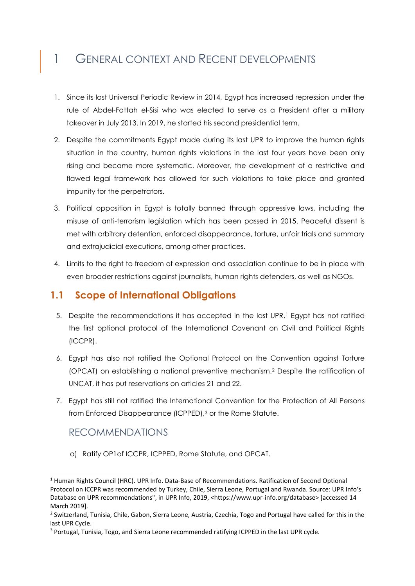# 1 GENERAL CONTEXT AND RECENT DEVELOPMENTS

- 1. Since its last Universal Periodic Review in 2014, Egypt has increased repression under the rule of Abdel-Fattah el-Sisi who was elected to serve as a President after a military takeover in July 2013. In 2019, he started his second presidential term.
- 2. Despite the commitments Egypt made during its last UPR to improve the human rights situation in the country, human rights violations in the last four years have been only rising and became more systematic. Moreover, the development of a restrictive and flawed legal framework has allowed for such violations to take place and granted impunity for the perpetrators.
- 3. Political opposition in Egypt is totally banned through oppressive laws, including the misuse of anti-terrorism legislation which has been passed in 2015. Peaceful dissent is met with arbitrary detention, enforced disappearance, torture, unfair trials and summary and extrajudicial executions, among other practices.
- 4. Limits to the right to freedom of expression and association continue to be in place with even broader restrictions against journalists, human rights defenders, as well as NGOs.

## **1.1 Scope of International Obligations**

- 5. Despite the recommendations it has accepted in the last UPR,<sup>1</sup> Egypt has not ratified the first optional protocol of the International Covenant on Civil and Political Rights (ICCPR).
- 6. Egypt has also not ratified the Optional Protocol on the Convention against Torture (OPCAT) on establishing a national preventive mechanism.<sup>2</sup> Despite the ratification of UNCAT, it has put reservations on articles 21 and 22.
- 7. Egypt has still not ratified the International Convention for the Protection of All Persons from Enforced Disappearance (ICPPED),<sup>3</sup> or the Rome Statute.

## RECOMMENDATIONS

-

a) Ratify OP1of ICCPR, ICPPED, Rome Statute, and OPCAT.

<sup>&</sup>lt;sup>1</sup> Human Rights Council (HRC). UPR Info. Data-Base of Recommendations. Ratification of Second Optional Protocol on ICCPR was recommended by Turkey, Chile, Sierra Leone, Portugal and Rwanda. Source: UPR Info's Database on UPR recommendations", in UPR Info, 2019, <https://www.upr-info.org/database> [accessed 14 March 2019].

<sup>&</sup>lt;sup>2</sup> Switzerland, Tunisia, Chile, Gabon, Sierra Leone, Austria, Czechia, Togo and Portugal have called for this in the last UPR Cycle.

<sup>3</sup> Portugal, Tunisia, Togo, and Sierra Leone recommended ratifying ICPPED in the last UPR cycle.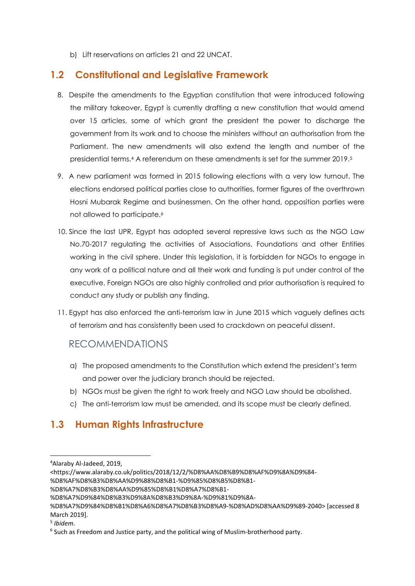b) Lift reservations on articles 21 and 22 UNCAT.

#### **1.2 Constitutional and Legislative Framework**

- 8. Despite the amendments to the Egyptian constitution that were introduced following the military takeover, Egypt is currently drafting a new constitution that would amend over 15 articles, some of which grant the president the power to discharge the government from its work and to choose the ministers without an authorisation from the Parliament. The new amendments will also extend the length and number of the presidential terms. <sup>4</sup> A referendum on these amendments is set for the summer 2019.<sup>5</sup>
- 9. A new parliament was formed in 2015 following elections with a very low turnout. The elections endorsed political parties close to authorities, former figures of the overthrown Hosni Mubarak Regime and businessmen. On the other hand, opposition parties were not allowed to participate.<sup>6</sup>
- 10. Since the last UPR, Egypt has adopted several repressive laws such as the NGO Law No.70-2017 regulating the activities of Associations, Foundations and other Entities working in the civil sphere. Under this legislation, it is forbidden for NGOs to engage in any work of a political nature and all their work and funding is put under control of the executive. Foreign NGOs are also highly controlled and prior authorisation is required to conduct any study or publish any finding.
- 11. Egypt has also enforced the anti-terrorism law in June 2015 which vaguely defines acts of terrorism and has consistently been used to crackdown on peaceful dissent.

#### RECOMMENDATIONS

- a) The proposed amendments to the Constitution which extend the president's term and power over the judiciary branch should be rejected.
- b) NGOs must be given the right to work freely and NGO Law should be abolished.
- c) The anti-terrorism law must be amended, and its scope must be clearly defined.

# **1.3 Human Rights Infrastructure**

- <https://www.alaraby.co.uk/politics/2018/12/2/%D8%AA%D8%B9%D8%AF%D9%8A%D9%84-
- %D8%AF%D8%B3%D8%AA%D9%88%D8%B1-%D9%85%D8%B5%D8%B1-

**.** 

<sup>4</sup>Alaraby Al-Jadeed, 2019,

<sup>%</sup>D8%A7%D8%B3%D8%AA%D9%85%D8%B1%D8%A7%D8%B1-

<sup>%</sup>D8%A7%D9%84%D8%B3%D9%8A%D8%B3%D9%8A-%D9%81%D9%8A-

<sup>%</sup>D8%A7%D9%84%D8%B1%D8%A6%D8%A7%D8%B3%D8%A9-%D8%AD%D8%AA%D9%89-2040> [accessed 8 March 2019].

<sup>5</sup> *Ibidem*.

<sup>&</sup>lt;sup>6</sup> Such as Freedom and Justice party, and the political wing of Muslim-brotherhood party.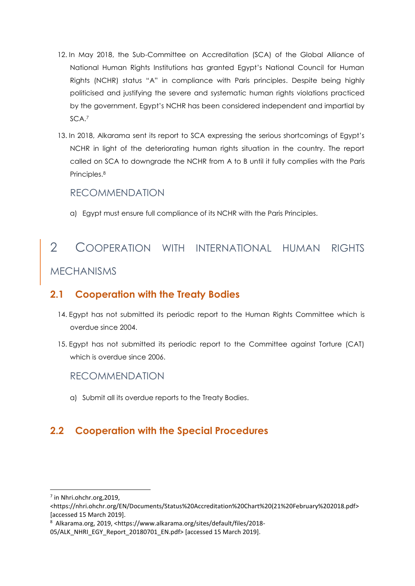- 12. In May 2018, the Sub-Committee on Accreditation (SCA) of the Global Alliance of National Human Rights Institutions has granted Egypt's National Council for Human Rights (NCHR) status "A" in compliance with Paris principles. Despite being highly politicised and justifying the severe and systematic human rights violations practiced by the government, Egypt's NCHR has been considered independent and impartial by SCA. 7
- 13. In 2018, Alkarama sent its report to SCA expressing the serious shortcomings of Egypt's NCHR in light of the deteriorating human rights situation in the country. The report called on SCA to downgrade the NCHR from A to B until it fully complies with the Paris Principles. 8

#### RECOMMENDATION

a) Egypt must ensure full compliance of its NCHR with the Paris Principles.

# 2 COOPERATION WITH INTERNATIONAL HUMAN RIGHTS MECHANISMS

# **2.1 Cooperation with the Treaty Bodies**

- 14. Egypt has not submitted its periodic report to the Human Rights Committee which is overdue since 2004.
- 15. Egypt has not submitted its periodic report to the Committee against Torture (CAT) which is overdue since 2006.

## RECOMMENDATION

a) Submit all its overdue reports to the Treaty Bodies.

# **2.2 Cooperation with the Special Procedures**

-

<https://nhri.ohchr.org/EN/Documents/Status%20Accreditation%20Chart%20(21%20February%202018.pdf> [accessed 15 March 2019].

<sup>8</sup> Alkarama.org, 2019, <https://www.alkarama.org/sites/default/files/2018-

 $<sup>7</sup>$  in Nhri.ohchr.org, 2019,</sup>

<sup>05/</sup>ALK\_NHRI\_EGY\_Report\_20180701\_EN.pdf> [accessed 15 March 2019].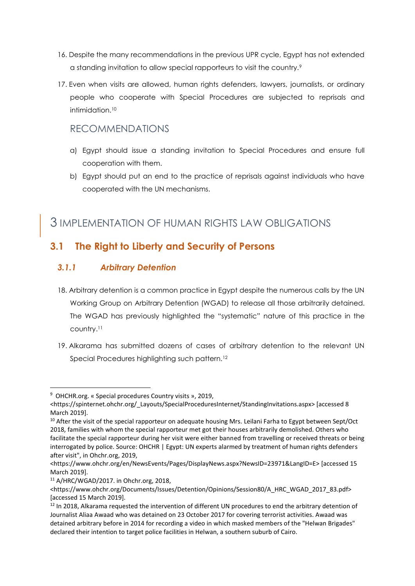- 16. Despite the many recommendations in the previous UPR cycle, Egypt has not extended a standing invitation to allow special rapporteurs to visit the country.<sup>9</sup>
- 17. Even when visits are allowed, human rights defenders, lawyers, journalists, or ordinary people who cooperate with Special Procedures are subjected to reprisals and intimidation<sup>10</sup>

# RECOMMENDATIONS

- a) Egypt should issue a standing invitation to Special Procedures and ensure full cooperation with them.
- b) Egypt should put an end to the practice of reprisals against individuals who have cooperated with the UN mechanisms.

# 3 IMPLEMENTATION OF HUMAN RIGHTS LAW OBLIGATIONS

# **3.1 The Right to Liberty and Security of Persons**

#### *3.1.1 Arbitrary Detention*

- 18. Arbitrary detention is a common practice in Egypt despite the numerous calls by the UN Working Group on Arbitrary Detention (WGAD) to release all those arbitrarily detained. The WGAD has previously highlighted the "systematic" nature of this practice in the country. 11
- 19. Alkarama has submitted dozens of cases of arbitrary detention to the relevant UN Special Procedures highlighting such pattern.<sup>12</sup>

-

<sup>9</sup> OHCHR.org. « Special procedures Country visits », 2019,

<sup>&</sup>lt;https://spinternet.ohchr.org/\_Layouts/SpecialProceduresInternet/StandingInvitations.aspx> [accessed 8 March 2019].

<sup>&</sup>lt;sup>10</sup> After the visit of the special rapporteur on adequate housing Mrs. Leilani Farha to Egypt between Sept/Oct 2018, families with whom the special rapporteur met got their houses arbitrarily demolished. Others who facilitate the special rapporteur during her visit were either banned from travelling or received threats or being interrogated by police. Source: OHCHR | Egypt: UN experts alarmed by treatment of human rights defenders after visit", in Ohchr.org, 2019,

<sup>&</sup>lt;https://www.ohchr.org/en/NewsEvents/Pages/DisplayNews.aspx?NewsID=23971&LangID=E> [accessed 15 March 2019].

<sup>11</sup> A/HRC/WGAD/2017. in Ohchr.org, 2018,

<sup>&</sup>lt;https://www.ohchr.org/Documents/Issues/Detention/Opinions/Session80/A\_HRC\_WGAD\_2017\_83.pdf> [accessed 15 March 2019].

<sup>&</sup>lt;sup>12</sup> In 2018, Alkarama requested the intervention of different UN procedures to end the arbitrary detention of Journalist Aliaa Awaad who was detained on 23 October 2017 for covering terrorist activities. Awaad was detained arbitrary before in 2014 for recording a video in which masked members of the "Helwan Brigades" declared their intention to target police facilities in Helwan, a southern suburb of Cairo.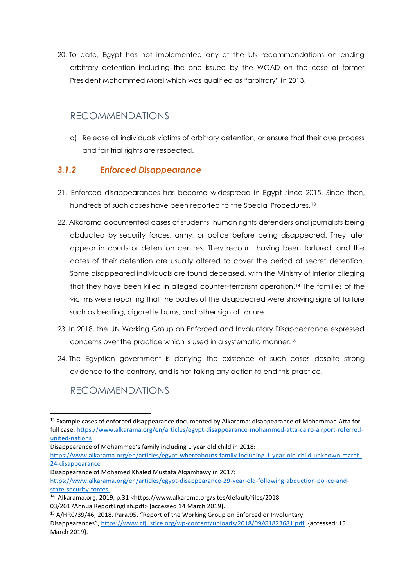20. To date, Egypt has not implemented any of the UN recommendations on ending arbitrary detention including the one issued by the WGAD on the case of former President Mohammed Morsi which was qualified as "arbitrary" in 2013.

# RECOMMENDATIONS

a) Release all individuals victims of arbitrary detention, or ensure that their due process and fair trial rights are respected.

#### *3.1.2 Enforced Disappearance*

- 21. Enforced disappearances has become widespread in Egypt since 2015. Since then, hundreds of such cases have been reported to the Special Procedures.<sup>13</sup>
- 22. Alkarama documented cases of students, human rights defenders and journalists being abducted by security forces, army, or police before being disappeared. They later appear in courts or detention centres. They recount having been tortured, and the dates of their detention are usually altered to cover the period of secret detention. Some disappeared individuals are found deceased, with the Ministry of Interior alleging that they have been killed in alleged counter-terrorism operation. <sup>14</sup> The families of the victims were reporting that the bodies of the disappeared were showing signs of torture such as beating, cigarette burns, and other sign of torture.
- 23. In 2018, the UN Working Group on Enforced and Involuntary Disappearance expressed concerns over the practice which is used in a systematic manner. 15
- 24. The Egyptian government is denying the existence of such cases despite strong evidence to the contrary, and is not taking any action to end this practice.

# RECOMMENDATIONS

-

[https://www.alkarama.org/en/articles/egypt-disappearance-29-year-old-following-abduction-police-and](https://www.alkarama.org/en/articles/egypt-disappearance-29-year-old-following-abduction-police-and-state-security-forces)[state-security-forces.](https://www.alkarama.org/en/articles/egypt-disappearance-29-year-old-following-abduction-police-and-state-security-forces)

<sup>14</sup> Alkarama.org, 2019, p.31 <https://www.alkarama.org/sites/default/files/2018-

03/2017AnnualReportEnglish.pdf> [accessed 14 March 2019].

<sup>&</sup>lt;sup>13</sup> Example cases of enforced disappearance documented by Alkarama: disappearance of Mohammad Atta for full case: [https://www.alkarama.org/en/articles/egypt-disappearance-mohammed-atta-cairo-airport-referred](https://www.alkarama.org/en/articles/egypt-disappearance-mohammed-atta-cairo-airport-referred-united-nations)[united-nations](https://www.alkarama.org/en/articles/egypt-disappearance-mohammed-atta-cairo-airport-referred-united-nations)

Disappearance of Mohammed's family including 1 year old child in 2018:

[https://www.alkarama.org/en/articles/egypt-whereabouts-family-including-1-year-old-child-unknown-march-](https://www.alkarama.org/en/articles/egypt-whereabouts-family-including-1-year-old-child-unknown-march-24-disappearance)[24-disappearance](https://www.alkarama.org/en/articles/egypt-whereabouts-family-including-1-year-old-child-unknown-march-24-disappearance)

Disappearance of Mohamed Khaled Mustafa Alqamhawy in 2017:

<sup>15</sup> A/HRC/39/46, 2018. Para.95. "Report of the Working Group on Enforced or Involuntary Disappearances", [https://www.cfjustice.org/wp-content/uploads/2018/09/G1823681.pdf.](https://www.cfjustice.org/wp-content/uploads/2018/09/G1823681.pdf) {accessed: 15 March 2019}.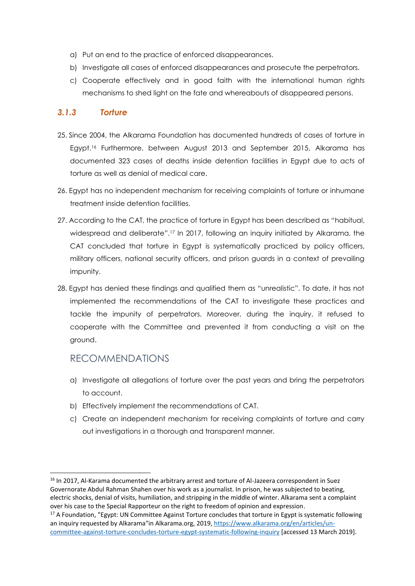- a) Put an end to the practice of enforced disappearances.
- b) Investigate all cases of enforced disappearances and prosecute the perpetrators.
- c) Cooperate effectively and in good faith with the international human rights mechanisms to shed light on the fate and whereabouts of disappeared persons.

#### *3.1.3 Torture*

- 25. Since 2004, the Alkarama Foundation has documented hundreds of cases of torture in Egypt.<sup>16</sup> Furthermore, between August 2013 and September 2015, Alkarama has documented 323 cases of deaths inside detention facilities in Egypt due to acts of torture as well as denial of medical care.
- 26. Egypt has no independent mechanism for receiving complaints of torture or inhumane treatment inside detention facilities.
- 27. According to the CAT, the practice of torture in Egypt has been described as "habitual, widespread and deliberate".<sup>17</sup> In 2017, following an inquiry initiated by Alkarama, the CAT concluded that torture in Egypt is systematically practiced by policy officers, military officers, national security officers, and prison guards in a context of prevailing impunity.
- 28. Egypt has denied these findings and qualified them as "unrealistic". To date, it has not implemented the recommendations of the CAT to investigate these practices and tackle the impunity of perpetrators. Moreover, during the inquiry, it refused to cooperate with the Committee and prevented it from conducting a visit on the ground.

#### RECOMMENDATIONS

-

- a) Investigate all allegations of torture over the past years and bring the perpetrators to account.
- b) Effectively implement the recommendations of CAT.
- c) Create an independent mechanism for receiving complaints of torture and carry out investigations in a thorough and transparent manner.

<sup>&</sup>lt;sup>16</sup> In 2017, Al-Karama documented the arbitrary arrest and torture of Al-Jazeera correspondent in Suez Governorate Abdul Rahman Shahen over his work as a journalist. In prison, he was subjected to beating, electric shocks, denial of visits, humiliation, and stripping in the middle of winter. Alkarama sent a complaint over his case to the Special Rapporteur on the right to freedom of opinion and expression.

<sup>&</sup>lt;sup>17</sup> A Foundation, "Egypt: UN Committee Against Torture concludes that torture in Egypt is systematic following an inquiry requested by Alkarama"in Alkarama.org, 2019, [https://www.alkarama.org/en/articles/un](https://www.alkarama.org/en/articles/un-committee-against-torture-concludes-torture-egypt-systematic-following-inquiry)[committee-against-torture-concludes-torture-egypt-systematic-following-inquiry](https://www.alkarama.org/en/articles/un-committee-against-torture-concludes-torture-egypt-systematic-following-inquiry) [accessed 13 March 2019].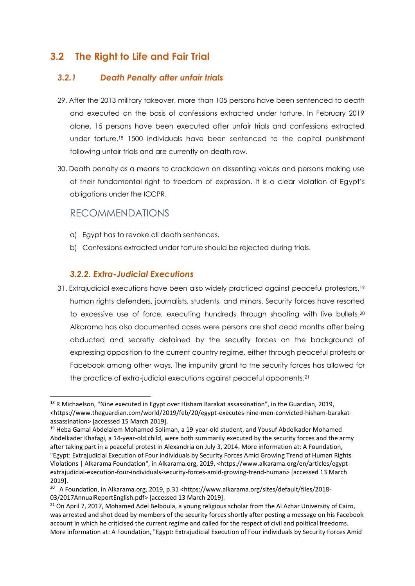# **3.2 The Right to Life and Fair Trial**

#### *3.2.1 Death Penalty after unfair trials*

- 29. After the 2013 military takeover, more than 105 persons have been sentenced to death and executed on the basis of confessions extracted under torture. In February 2019 alone, 15 persons have been executed after unfair trials and confessions extracted under torture. <sup>18</sup> 1500 individuals have been sentenced to the capital punishment following unfair trials and are currently on death row.
- 30. Death penalty as a means to crackdown on dissenting voices and persons making use of their fundamental right to freedom of expression. It is a clear violation of Egypt's obligations under the ICCPR.

## RECOMMENDATIONS

**.** 

- a) Egypt has to revoke all death sentences.
- b) Confessions extracted under torture should be rejected during trials.

#### *3.2.2. Extra-Judicial Executions*

31. Extrajudicial executions have been also widely practiced against peaceful protestors,<sup>19</sup> human rights defenders, journalists, students, and minors. Security forces have resorted to excessive use of force, executing hundreds through shooting with live bullets.<sup>20</sup> Alkarama has also documented cases were persons are shot dead months after being abducted and secretly detained by the security forces on the background of expressing opposition to the current country regime, either through peaceful protests or Facebook among other ways. The impunity grant to the security forces has allowed for the practice of extra-judicial executions against peaceful opponents.<sup>21</sup>

<sup>&</sup>lt;sup>18</sup> R Michaelson, "Nine executed in Egypt over Hisham Barakat assassination", in the Guardian, 2019, <https://www.theguardian.com/world/2019/feb/20/egypt-executes-nine-men-convicted-hisham-barakatassassination> [accessed 15 March 2019].

<sup>&</sup>lt;sup>19</sup> Heba Gamal Abdelalem Mohamed Soliman, a 19-year-old student, and Yousuf Abdelkader Mohamed Abdelkader Khafagi, a 14-year-old child, were both summarily executed by the security forces and the army after taking part in a peaceful protest in Alexandria on July 3, 2014. More information at: A Foundation, "Egypt: Extrajudicial Execution of Four individuals by Security Forces Amid Growing Trend of Human Rights Violations | Alkarama Foundation", in Alkarama.org, 2019, <https://www.alkarama.org/en/articles/egyptextrajudicial-execution-four-individuals-security-forces-amid-growing-trend-human> [accessed 13 March 2019].

<sup>&</sup>lt;sup>20</sup> A Foundation, in Alkarama.org, 2019, p.31 <https://www.alkarama.org/sites/default/files/2018-03/2017AnnualReportEnglish.pdf> [accessed 13 March 2019].

<sup>&</sup>lt;sup>21</sup> On April 7, 2017, Mohamed Adel Belboula, a young religious scholar from the Al Azhar University of Cairo, was arrested and shot dead by members of the security forces shortly after posting a message on his Facebook account in which he criticised the current regime and called for the respect of civil and political freedoms. More information at: A Foundation, "Egypt: Extrajudicial Execution of Four individuals by Security Forces Amid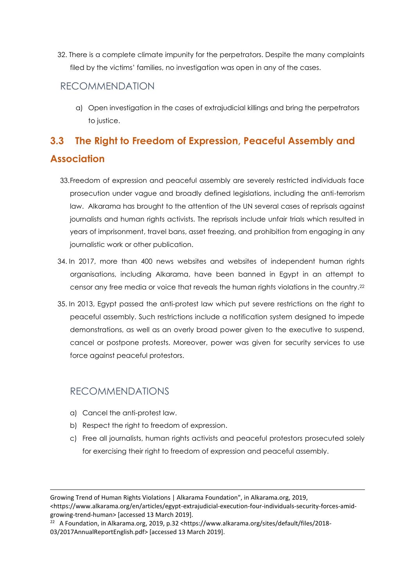32. There is a complete climate impunity for the perpetrators. Despite the many complaints filed by the victims' families, no investigation was open in any of the cases.

#### RECOMMENDATION

a) Open investigation in the cases of extrajudicial killings and bring the perpetrators to justice.

# **3.3 The Right to Freedom of Expression, Peaceful Assembly and Association**

- 33.Freedom of expression and peaceful assembly are severely restricted individuals face prosecution under vague and broadly defined legislations, including the anti-terrorism law. Alkarama has brought to the attention of the UN several cases of reprisals against journalists and human rights activists. The reprisals include unfair trials which resulted in years of imprisonment, travel bans, asset freezing, and prohibition from engaging in any journalistic work or other publication.
- 34. In 2017, more than 400 news websites and websites of independent human rights organisations, including Alkarama, have been banned in Egypt in an attempt to censor any free media or voice that reveals the human rights violations in the country. 22
- 35. In 2013, Egypt passed the anti-protest law which put severe restrictions on the right to peaceful assembly. Such restrictions include a notification system designed to impede demonstrations, as well as an overly broad power given to the executive to suspend, cancel or postpone protests. Moreover, power was given for security services to use force against peaceful protestors.

## RECOMMENDATIONS

a) Cancel the anti-protest law.

-

- b) Respect the right to freedom of expression.
- c) Free all journalists, human rights activists and peaceful protestors prosecuted solely for exercising their right to freedom of expression and peaceful assembly.

Growing Trend of Human Rights Violations | Alkarama Foundation", in Alkarama.org, 2019, <https://www.alkarama.org/en/articles/egypt-extrajudicial-execution-four-individuals-security-forces-amidgrowing-trend-human> [accessed 13 March 2019].

<sup>&</sup>lt;sup>22</sup> A Foundation, in Alkarama.org, 2019, p.32 <https://www.alkarama.org/sites/default/files/2018-03/2017AnnualReportEnglish.pdf> [accessed 13 March 2019].